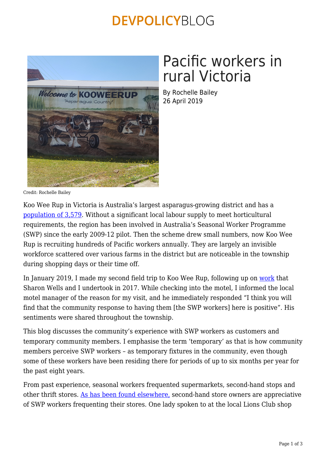## **DEVPOLICYBLOG**



# Pacific workers in rural Victoria

By Rochelle Bailey 26 April 2019

Credit: Rochelle Bailey

Koo Wee Rup in Victoria is Australia's largest asparagus-growing district and has a [population of 3,579](http://quickstats.censusdata.abs.gov.au/census_services/getproduct/census/2016/quickstat/SSC21372). Without a significant local labour supply to meet horticultural requirements, the region has been involved in Australia's Seasonal Worker Programme (SWP) since the early 2009-12 pilot. Then the scheme drew small numbers, now Koo Wee Rup is recruiting hundreds of Pacific workers annually. They are largely an invisible workforce scattered over various farms in the district but are noticeable in the township during shopping days or their time off.

In January 2019, I made my second field trip to Koo Wee Rup, following up on [work](http://dpa.bellschool.anu.edu.au/sites/default/files/publications/attachments/2017-08/ib_2017_21_baileywells.pdf) that Sharon Wells and I undertook in 2017. While checking into the motel, I informed the local motel manager of the reason for my visit, and he immediately responded "I think you will find that the community response to having them [the SWP workers] here is positive". His sentiments were shared throughout the township.

This blog discusses the community's experience with SWP workers as customers and temporary community members. I emphasise the term 'temporary' as that is how community members perceive SWP workers – as temporary fixtures in the community, even though some of these workers have been residing there for periods of up to six months per year for the past eight years.

From past experience, seasonal workers frequented supermarkets, second-hand stops and other thrift stores. [As has been found elsewhere,](http://ssgm.bellschool.anu.edu.au/sites/default/files/publications/attachments/2015-12/SSGM_DP_2013_4_0_0.pdf) second-hand store owners are appreciative of SWP workers frequenting their stores. One lady spoken to at the local Lions Club shop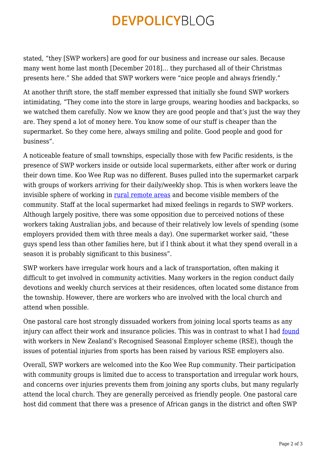## **DEVPOLICYBLOG**

stated, "they [SWP workers] are good for our business and increase our sales. Because many went home last month [December 2018]… they purchased all of their Christmas presents here." She added that SWP workers were "nice people and always friendly."

At another thrift store, the staff member expressed that initially she found SWP workers intimidating, "They come into the store in large groups, wearing hoodies and backpacks, so we watched them carefully. Now we know they are good people and that's just the way they are. They spend a lot of money here. You know some of our stuff is cheaper than the supermarket. So they come here, always smiling and polite. Good people and good for business".

A noticeable feature of small townships, especially those with few Pacific residents, is the presence of SWP workers inside or outside local supermarkets, either after work or during their down time. Koo Wee Rup was no different. Buses pulled into the supermarket carpark with groups of workers arriving for their daily/weekly shop. This is when workers leave the invisible sphere of working in [rural remote areas](https://www.theasa.org/downloads/conferences/asa08/ASA08book.pdf) and become visible members of the community. Staff at the local supermarket had mixed feelings in regards to SWP workers. Although largely positive, there was some opposition due to perceived notions of these workers taking Australian jobs, and because of their relatively low levels of spending (some employers provided them with three meals a day). One supermarket worker said, "these guys spend less than other families here, but if I think about it what they spend overall in a season it is probably significant to this business".

SWP workers have irregular work hours and a lack of transportation, often making it difficult to get involved in community activities. Many workers in the region conduct daily devotions and weekly church services at their residences, often located some distance from the township. However, there are workers who are involved with the local church and attend when possible.

One pastoral care host strongly dissuaded workers from joining local sports teams as any injury can affect their work and insurance policies. This was in contrast to what I had [found](https://www.stuff.co.nz/sport/football/105736746/work-hard-play-hard-rse-football-cup-unites-vineyard-labourers) with workers in New Zealand's Recognised Seasonal Employer scheme (RSE), though the issues of potential injuries from sports has been raised by various RSE employers also.

Overall, SWP workers are welcomed into the Koo Wee Rup community. Their participation with community groups is limited due to access to transportation and irregular work hours, and concerns over injuries prevents them from joining any sports clubs, but many regularly attend the local church. They are generally perceived as friendly people. One pastoral care host did comment that there was a presence of African gangs in the district and often SWP